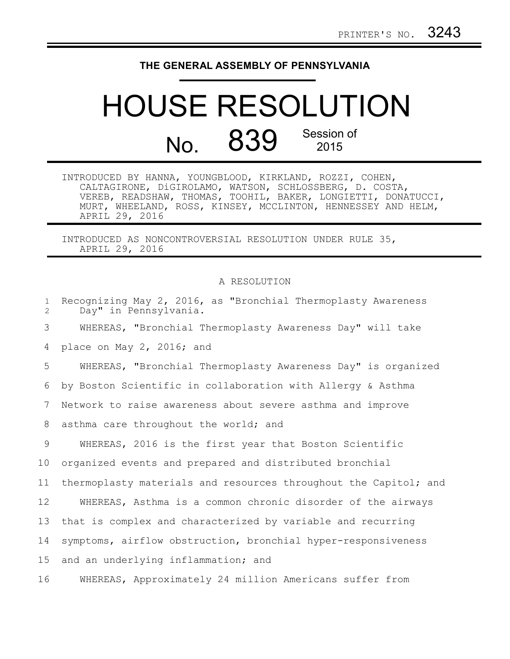## **THE GENERAL ASSEMBLY OF PENNSYLVANIA**

## HOUSE RESOLUTION No. 839 Session of 2015

INTRODUCED BY HANNA, YOUNGBLOOD, KIRKLAND, ROZZI, COHEN, CALTAGIRONE, DiGIROLAMO, WATSON, SCHLOSSBERG, D. COSTA, VEREB, READSHAW, THOMAS, TOOHIL, BAKER, LONGIETTI, DONATUCCI, MURT, WHEELAND, ROSS, KINSEY, MCCLINTON, HENNESSEY AND HELM, APRIL 29, 2016

INTRODUCED AS NONCONTROVERSIAL RESOLUTION UNDER RULE 35, APRIL 29, 2016

## A RESOLUTION

| $\mathbf{1}$<br>$\overline{2}$ | Recognizing May 2, 2016, as "Bronchial Thermoplasty Awareness<br>Day" in Pennsylvania. |
|--------------------------------|----------------------------------------------------------------------------------------|
| 3                              | WHEREAS, "Bronchial Thermoplasty Awareness Day" will take                              |
| 4                              | place on May 2, 2016; and                                                              |
| 5                              | WHEREAS, "Bronchial Thermoplasty Awareness Day" is organized                           |
| 6                              | by Boston Scientific in collaboration with Allergy & Asthma                            |
| 7                              | Network to raise awareness about severe asthma and improve                             |
| 8                              | asthma care throughout the world; and                                                  |
| 9                              | WHEREAS, 2016 is the first year that Boston Scientific                                 |
| 10 <sub>o</sub>                | organized events and prepared and distributed bronchial                                |
| 11                             | thermoplasty materials and resources throughout the Capitol; and                       |
| 12 <sup>°</sup>                | WHEREAS, Asthma is a common chronic disorder of the airways                            |
| 13                             | that is complex and characterized by variable and recurring                            |
| 14                             | symptoms, airflow obstruction, bronchial hyper-responsiveness                          |
| 15                             | and an underlying inflammation; and                                                    |
| 16                             | WHEREAS, Approximately 24 million Americans suffer from                                |